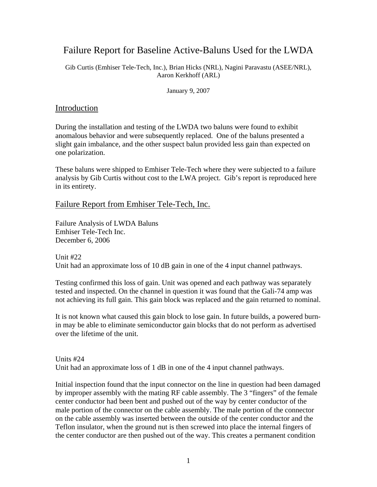## Failure Report for Baseline Active-Baluns Used for the LWDA

Gib Curtis (Emhiser Tele-Tech, Inc.), Brian Hicks (NRL), Nagini Paravastu (ASEE/NRL), Aaron Kerkhoff (ARL)

January 9, 2007

## Introduction

During the installation and testing of the LWDA two baluns were found to exhibit anomalous behavior and were subsequently replaced. One of the baluns presented a slight gain imbalance, and the other suspect balun provided less gain than expected on one polarization.

These baluns were shipped to Emhiser Tele-Tech where they were subjected to a failure analysis by Gib Curtis without cost to the LWA project. Gib's report is reproduced here in its entirety.

## Failure Report from Emhiser Tele-Tech, Inc.

Failure Analysis of LWDA Baluns Emhiser Tele-Tech Inc. December 6, 2006

Unit #22 Unit had an approximate loss of 10 dB gain in one of the 4 input channel pathways.

Testing confirmed this loss of gain. Unit was opened and each pathway was separately tested and inspected. On the channel in question it was found that the Gali-74 amp was not achieving its full gain. This gain block was replaced and the gain returned to nominal.

It is not known what caused this gain block to lose gain. In future builds, a powered burnin may be able to eliminate semiconductor gain blocks that do not perform as advertised over the lifetime of the unit.

Units #24 Unit had an approximate loss of 1 dB in one of the 4 input channel pathways.

Initial inspection found that the input connector on the line in question had been damaged by improper assembly with the mating RF cable assembly. The 3 "fingers" of the female center conductor had been bent and pushed out of the way by center conductor of the male portion of the connector on the cable assembly. The male portion of the connector on the cable assembly was inserted between the outside of the center conductor and the Teflon insulator, when the ground nut is then screwed into place the internal fingers of the center conductor are then pushed out of the way. This creates a permanent condition